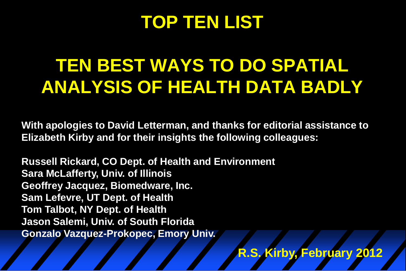## **TOP TEN LIST**

# **TEN BEST WAYS TO DO SPATIAL ANALYSIS OF HEALTH DATA BADLY**

**With apologies to David Letterman, and thanks for editorial assistance to Elizabeth Kirby and for their insights the following colleagues:**

**Russell Rickard, CO Dept. of Health and Environment Sara McLafferty, Univ. of Illinois Geoffrey Jacquez, Biomedware, Inc. Sam Lefevre, UT Dept. of Health Tom Talbot, NY Dept. of Health Jason Salemi, Univ. of South Florida Gonzalo Vazquez-Prokopec, Emory Univ.** 

**R.S. Kirby, February 2012**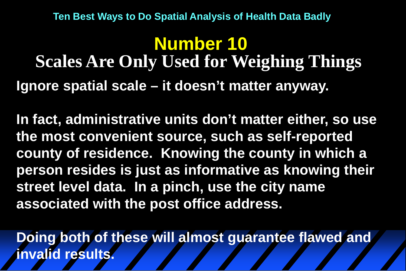**Ignore spatial scale – it doesn't matter anyway. Number 10 Scales Are Only Used for Weighing Things**

**In fact, administrative units don't matter either, so use the most convenient source, such as self-reported county of residence. Knowing the county in which a person resides is just as informative as knowing their street level data. In a pinch, use the city name associated with the post office address.**

**Doing both of these will almost guarantee flawed and invalid results.**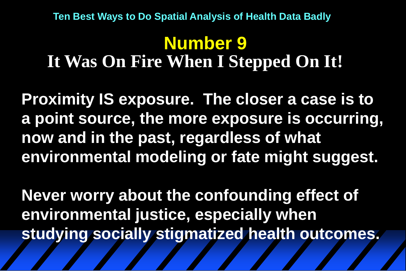### **Number 9 It Was On Fire When I Stepped On It!**

**Proximity IS exposure. The closer a case is to a point source, the more exposure is occurring, now and in the past, regardless of what environmental modeling or fate might suggest.** 

**Never worry about the confounding effect of environmental justice, especially when studying socially stigmatized health outcomes.**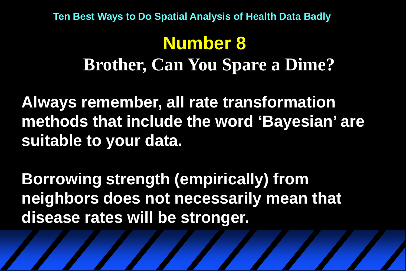# **Number 8**

### **Brother, Can You Spare a Dime?**

**Always remember, all rate transformation methods that include the word 'Bayesian' are suitable to your data.**

**Borrowing strength (empirically) from neighbors does not necessarily mean that disease rates will be stronger.**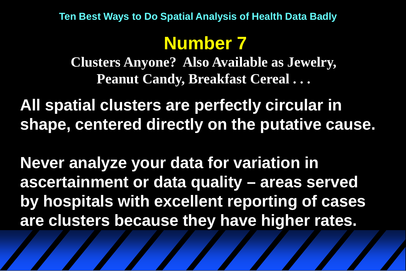## **Number 7**

**Clusters Anyone? Also Available as Jewelry, Peanut Candy, Breakfast Cereal . . .**

**All spatial clusters are perfectly circular in shape, centered directly on the putative cause.**

**Never analyze your data for variation in ascertainment or data quality – areas served by hospitals with excellent reporting of cases are clusters because they have higher rates.**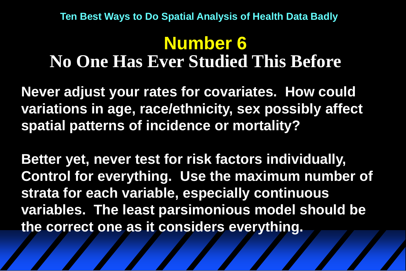#### **Number 6 No One Has Ever Studied This Before**

**Never adjust your rates for covariates. How could variations in age, race/ethnicity, sex possibly affect spatial patterns of incidence or mortality?** 

**Better yet, never test for risk factors individually, Control for everything. Use the maximum number of strata for each variable, especially continuous variables. The least parsimonious model should be the correct one as it considers everything.**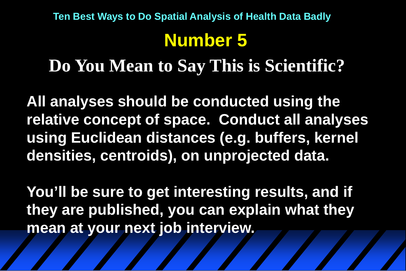**Do You Mean to Say This is Scientific?**

**All analyses should be conducted using the relative concept of space. Conduct all analyses using Euclidean distances (e.g. buffers, kernel densities, centroids), on unprojected data.**

**You'll be sure to get interesting results, and if they are published, you can explain what they mean at your next job interview.**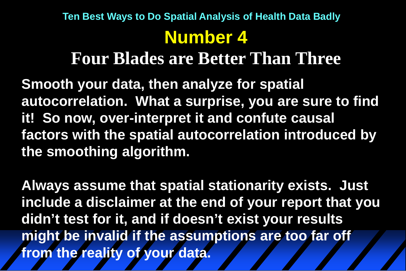#### **Four Blades are Better Than Three**

**Smooth your data, then analyze for spatial autocorrelation. What a surprise, you are sure to find it! So now, over-interpret it and confute causal factors with the spatial autocorrelation introduced by the smoothing algorithm.**

**Always assume that spatial stationarity exists. Just include a disclaimer at the end of your report that you didn't test for it, and if doesn't exist your results might be invalid if the assumptions are too far off from the reality of your data.**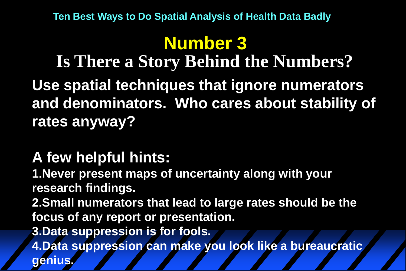# **Number 3**

**Use spatial techniques that ignore numerators and denominators. Who cares about stability of rates anyway? Is There a Story Behind the Numbers?**

#### **A few helpful hints:**

**1.Never present maps of uncertainty along with your research findings. 2.Small numerators that lead to large rates should be the** 

**focus of any report or presentation.**

**3.Data suppression is for fools.**

**4.Data suppression can make you look like a bureaucratic genius.**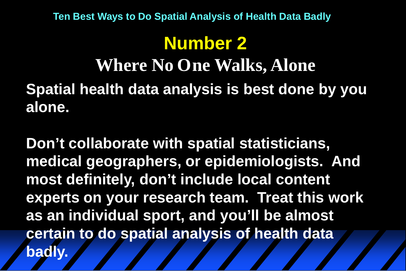## **Number 2**

## **Spatial health data analysis is best done by you alone. Where No One Walks, Alone**

**Don't collaborate with spatial statisticians, medical geographers, or epidemiologists. And most definitely, don't include local content experts on your research team. Treat this work as an individual sport, and you'll be almost certain to do spatial analysis of health data badly.**